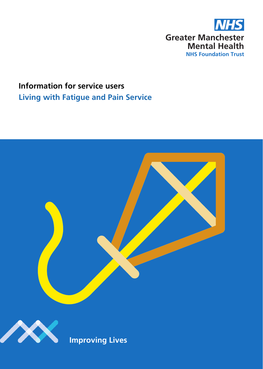

# **Living with Fatigue and Pain Service Information for service users**



**Improving Lives**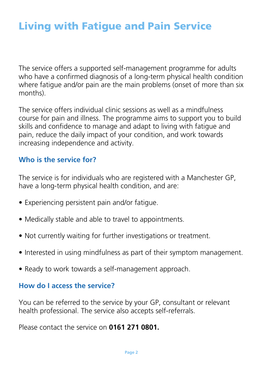# Living with Fatigue and Pain Service

The service offers a supported self-management programme for adults who have a confirmed diagnosis of a long-term physical health condition where fatigue and/or pain are the main problems (onset of more than six months).

The service offers individual clinic sessions as well as a mindfulness course for pain and illness. The programme aims to support you to build skills and confidence to manage and adapt to living with fatigue and pain, reduce the daily impact of your condition, and work towards increasing independence and activity.

# **Who is the service for?**

The service is for individuals who are registered with a Manchester GP, have a long-term physical health condition, and are:

- Experiencing persistent pain and/or fatigue.
- Medically stable and able to travel to appointments.
- Not currently waiting for further investigations or treatment.
- Interested in using mindfulness as part of their symptom management.
- Ready to work towards a self-management approach.

## **How do I access the service?**

You can be referred to the service by your GP, consultant or relevant health professional. The service also accepts self-referrals.

Please contact the service on **0161 271 0801.**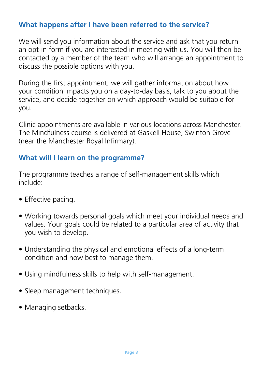# **What happens after I have been referred to the service?**

We will send you information about the service and ask that you return an opt-in form if you are interested in meeting with us. You will then be contacted by a member of the team who will arrange an appointment to discuss the possible options with you.

During the first appointment, we will gather information about how your condition impacts you on a day-to-day basis, talk to you about the service, and decide together on which approach would be suitable for you.

Clinic appointments are available in various locations across Manchester. The Mindfulness course is delivered at Gaskell House, Swinton Grove (near the Manchester Royal Infirmary).

# **What will I learn on the programme?**

The programme teaches a range of self-management skills which include:

- Effective pacing.
- Working towards personal goals which meet your individual needs and values. Your goals could be related to a particular area of activity that you wish to develop.
- Understanding the physical and emotional effects of a long-term condition and how best to manage them.
- Using mindfulness skills to help with self-management.
- Sleep management techniques.
- Managing setbacks.